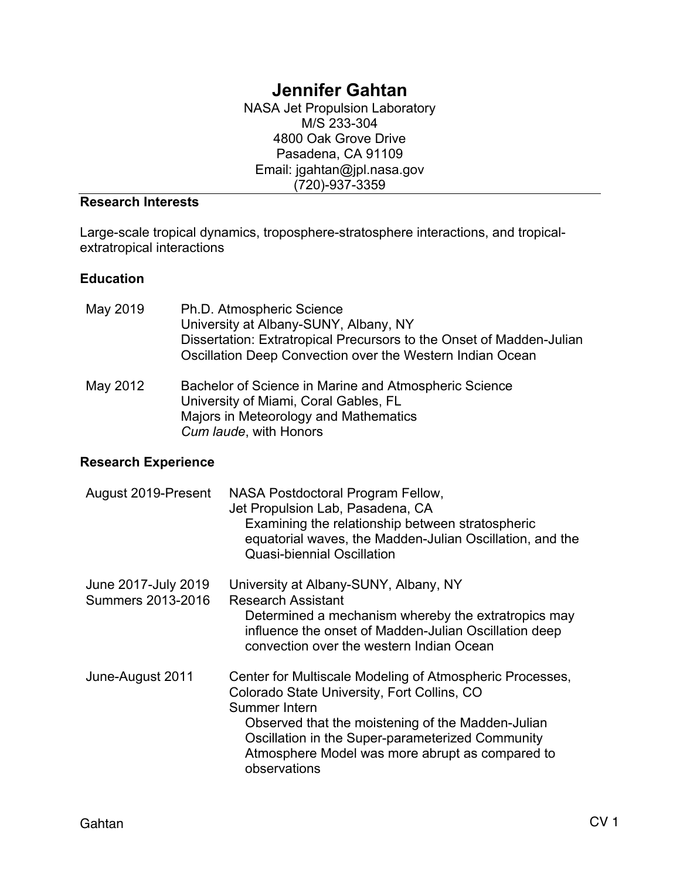# **Jennifer Gahtan**

NASA Jet Propulsion Laboratory M/S 233-304 4800 Oak Grove Drive Pasadena, CA 91109 Email: jgahtan@jpl.nasa.gov (720)-937-3359

### **Research Interests**

Large-scale tropical dynamics, troposphere-stratosphere interactions, and tropicalextratropical interactions

#### **Education**

| May 2019 | Ph.D. Atmospheric Science<br>University at Albany-SUNY, Albany, NY                                                                |
|----------|-----------------------------------------------------------------------------------------------------------------------------------|
|          | Dissertation: Extratropical Precursors to the Onset of Madden-Julian<br>Oscillation Deep Convection over the Western Indian Ocean |

May 2012 Bachelor of Science in Marine and Atmospheric Science University of Miami, Coral Gables, FL Majors in Meteorology and Mathematics *Cum laude*, with Honors

#### **Research Experience**

| August 2019-Present                      | NASA Postdoctoral Program Fellow,<br>Jet Propulsion Lab, Pasadena, CA<br>Examining the relationship between stratospheric<br>equatorial waves, the Madden-Julian Oscillation, and the<br><b>Quasi-biennial Oscillation</b>                                                                           |
|------------------------------------------|------------------------------------------------------------------------------------------------------------------------------------------------------------------------------------------------------------------------------------------------------------------------------------------------------|
| June 2017-July 2019<br>Summers 2013-2016 | University at Albany-SUNY, Albany, NY<br><b>Research Assistant</b><br>Determined a mechanism whereby the extratropics may<br>influence the onset of Madden-Julian Oscillation deep<br>convection over the western Indian Ocean                                                                       |
| June-August 2011                         | Center for Multiscale Modeling of Atmospheric Processes,<br>Colorado State University, Fort Collins, CO<br>Summer Intern<br>Observed that the moistening of the Madden-Julian<br>Oscillation in the Super-parameterized Community<br>Atmosphere Model was more abrupt as compared to<br>observations |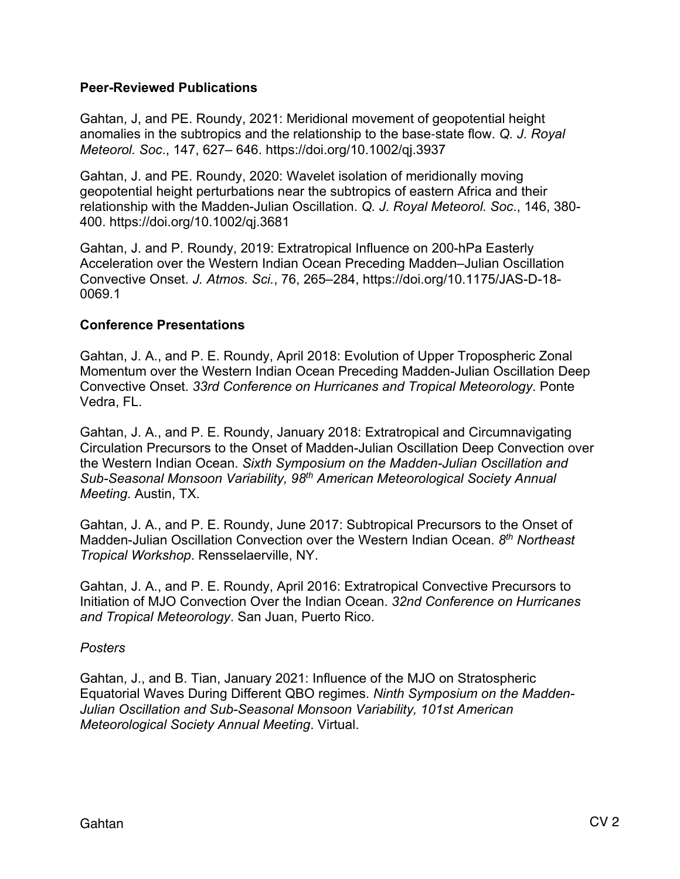#### **Peer-Reviewed Publications**

Gahtan, J, and PE. Roundy, 2021: Meridional movement of geopotential height anomalies in the subtropics and the relationship to the base-state flow. *Q. J. Royal Meteorol. Soc*., 147, 627– 646. https://doi.org/10.1002/qj.3937

Gahtan, J. and PE. Roundy, 2020: Wavelet isolation of meridionally moving geopotential height perturbations near the subtropics of eastern Africa and their relationship with the Madden-Julian Oscillation. *Q. J. Royal Meteorol. Soc*., 146, 380- 400. https://doi.org/10.1002/qj.3681

Gahtan, J. and P. Roundy, 2019: Extratropical Influence on 200-hPa Easterly Acceleration over the Western Indian Ocean Preceding Madden–Julian Oscillation Convective Onset. *J. Atmos. Sci.*, 76, 265–284, https://doi.org/10.1175/JAS-D-18- 0069.1

#### **Conference Presentations**

Gahtan, J. A., and P. E. Roundy, April 2018: Evolution of Upper Tropospheric Zonal Momentum over the Western Indian Ocean Preceding Madden-Julian Oscillation Deep Convective Onset. *33rd Conference on Hurricanes and Tropical Meteorology*. Ponte Vedra, FL.

Gahtan, J. A., and P. E. Roundy, January 2018: Extratropical and Circumnavigating Circulation Precursors to the Onset of Madden-Julian Oscillation Deep Convection over the Western Indian Ocean. *Sixth Symposium on the Madden-Julian Oscillation and Sub-Seasonal Monsoon Variability, 98th American Meteorological Society Annual Meeting*. Austin, TX.

Gahtan, J. A., and P. E. Roundy, June 2017: Subtropical Precursors to the Onset of Madden-Julian Oscillation Convection over the Western Indian Ocean. *8th Northeast Tropical Workshop*. Rensselaerville, NY.

Gahtan, J. A., and P. E. Roundy, April 2016: Extratropical Convective Precursors to Initiation of MJO Convection Over the Indian Ocean. *32nd Conference on Hurricanes and Tropical Meteorology*. San Juan, Puerto Rico.

#### *Posters*

Gahtan, J., and B. Tian, January 2021: Influence of the MJO on Stratospheric Equatorial Waves During Different QBO regimes. *Ninth Symposium on the Madden-Julian Oscillation and Sub-Seasonal Monsoon Variability, 101st American Meteorological Society Annual Meeting*. Virtual.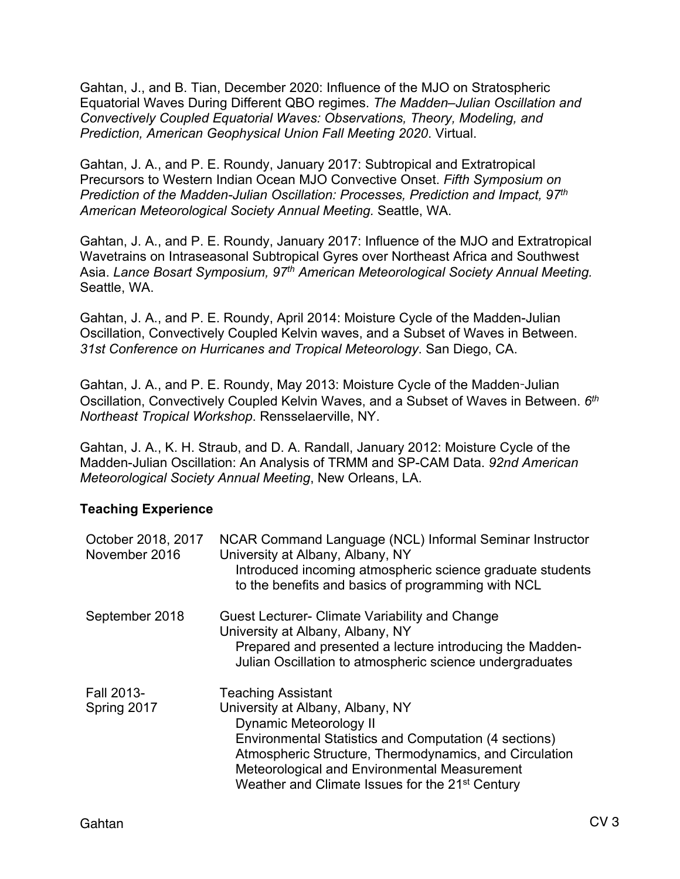Gahtan, J., and B. Tian, December 2020: Influence of the MJO on Stratospheric Equatorial Waves During Different QBO regimes. *The Madden–Julian Oscillation and Convectively Coupled Equatorial Waves: Observations, Theory, Modeling, and Prediction, American Geophysical Union Fall Meeting 2020*. Virtual.

Gahtan, J. A., and P. E. Roundy, January 2017: Subtropical and Extratropical Precursors to Western Indian Ocean MJO Convective Onset. *Fifth Symposium on Prediction of the Madden-Julian Oscillation: Processes, Prediction and Impact, 97th American Meteorological Society Annual Meeting.* Seattle, WA.

Gahtan, J. A., and P. E. Roundy, January 2017: Influence of the MJO and Extratropical Wavetrains on Intraseasonal Subtropical Gyres over Northeast Africa and Southwest Asia. *Lance Bosart Symposium, 97th American Meteorological Society Annual Meeting.*  Seattle, WA.

Gahtan, J. A., and P. E. Roundy, April 2014: Moisture Cycle of the Madden-Julian Oscillation, Convectively Coupled Kelvin waves, and a Subset of Waves in Between. *31st Conference on Hurricanes and Tropical Meteorology*. San Diego, CA.

Gahtan, J. A., and P. E. Roundy, May 2013: Moisture Cycle of the Madden-Julian Oscillation, Convectively Coupled Kelvin Waves, and a Subset of Waves in Between. *6th Northeast Tropical Workshop*. Rensselaerville, NY.

Gahtan, J. A., K. H. Straub, and D. A. Randall, January 2012: Moisture Cycle of the Madden-Julian Oscillation: An Analysis of TRMM and SP-CAM Data. *92nd American Meteorological Society Annual Meeting*, New Orleans, LA.

## **Teaching Experience**

| October 2018, 2017<br>November 2016 | NCAR Command Language (NCL) Informal Seminar Instructor<br>University at Albany, Albany, NY<br>Introduced incoming atmospheric science graduate students<br>to the benefits and basics of programming with NCL                                                                                                            |
|-------------------------------------|---------------------------------------------------------------------------------------------------------------------------------------------------------------------------------------------------------------------------------------------------------------------------------------------------------------------------|
| September 2018                      | Guest Lecturer- Climate Variability and Change<br>University at Albany, Albany, NY<br>Prepared and presented a lecture introducing the Madden-<br>Julian Oscillation to atmospheric science undergraduates                                                                                                                |
| Fall 2013-<br>Spring 2017           | <b>Teaching Assistant</b><br>University at Albany, Albany, NY<br>Dynamic Meteorology II<br>Environmental Statistics and Computation (4 sections)<br>Atmospheric Structure, Thermodynamics, and Circulation<br>Meteorological and Environmental Measurement<br>Weather and Climate Issues for the 21 <sup>st</sup> Century |